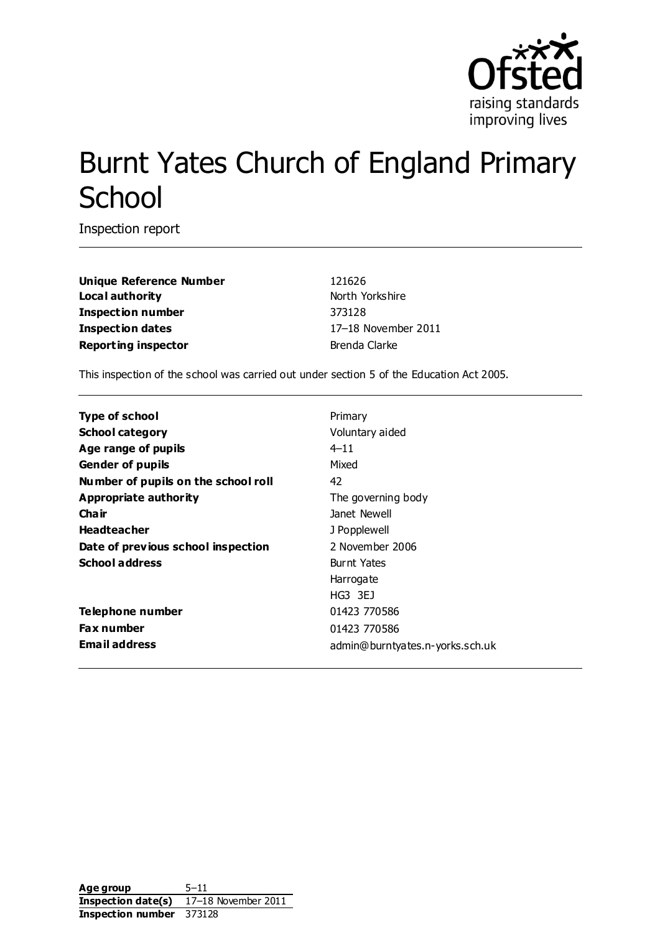

# Burnt Yates Church of England Primary **School**

Inspection report

**Unique Reference Number** 121626 **Local authority** North Yorkshire **Inspection number** 373128 **Inspection dates** 17–18 November 2011 **Reporting inspector Brenda Clarke** 

This inspection of the school was carried out under section 5 of the Education Act 2005.

| <b>Type of school</b>               | Primary                         |
|-------------------------------------|---------------------------------|
| <b>School category</b>              | Voluntary aided                 |
| Age range of pupils                 | $4 - 11$                        |
| <b>Gender of pupils</b>             | Mixed                           |
| Number of pupils on the school roll | 42                              |
| Appropriate authority               | The governing body              |
| Cha ir                              | Janet Newell                    |
| <b>Headteacher</b>                  | J Popplewell                    |
| Date of previous school inspection  | 2 November 2006                 |
| <b>School address</b>               | <b>Burnt Yates</b>              |
|                                     | Harrogate                       |
|                                     | HG3 3EJ                         |
| Telephone number                    | 01423 770586                    |
| <b>Fax number</b>                   | 01423 770586                    |
| <b>Email address</b>                | admin@burntyates.n-yorks.sch.uk |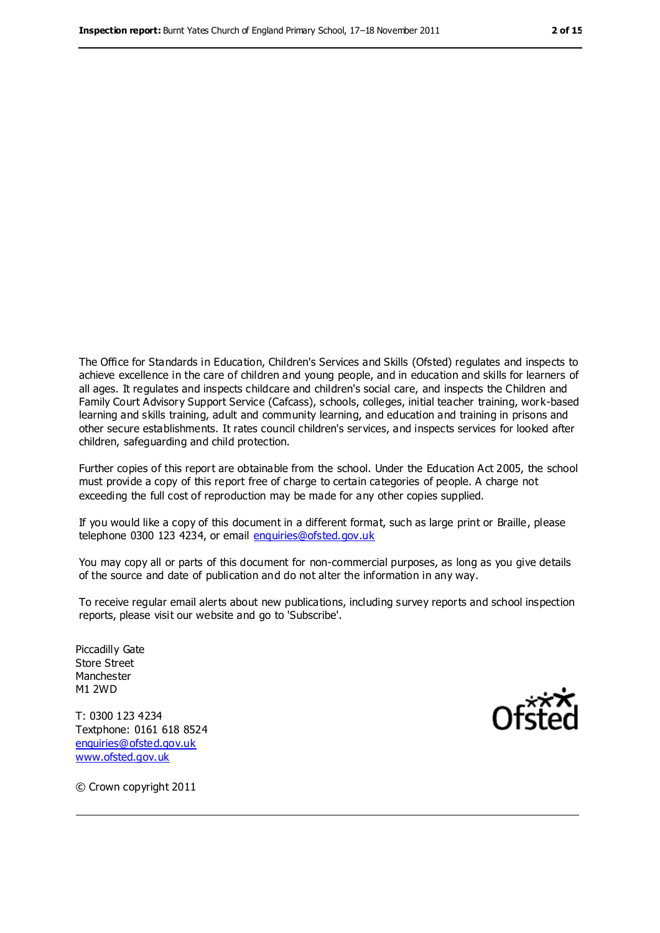The Office for Standards in Education, Children's Services and Skills (Ofsted) regulates and inspects to achieve excellence in the care of children and young people, and in education and skills for learners of all ages. It regulates and inspects childcare and children's social care, and inspects the Children and Family Court Advisory Support Service (Cafcass), schools, colleges, initial teacher training, work-based learning and skills training, adult and community learning, and education and training in prisons and other secure establishments. It rates council children's services, and inspects services for looked after children, safeguarding and child protection.

Further copies of this report are obtainable from the school. Under the Education Act 2005, the school must provide a copy of this report free of charge to certain categories of people. A charge not exceeding the full cost of reproduction may be made for any other copies supplied.

If you would like a copy of this document in a different format, such as large print or Braille, please telephone 0300 123 4234, or email [enquiries@ofsted.gov.uk](mailto:enquiries@ofsted.gov.uk)

You may copy all or parts of this document for non-commercial purposes, as long as you give details of the source and date of publication and do not alter the information in any way.

To receive regular email alerts about new publications, including survey reports and school inspection reports, please visit our website and go to 'Subscribe'.

Piccadilly Gate Store Street Manchester M1 2WD

T: 0300 123 4234 Textphone: 0161 618 8524 [enquiries@ofsted.gov.uk](mailto:enquiries@ofsted.gov.uk) [www.ofsted.gov.uk](http://www.ofsted.gov.uk/)



© Crown copyright 2011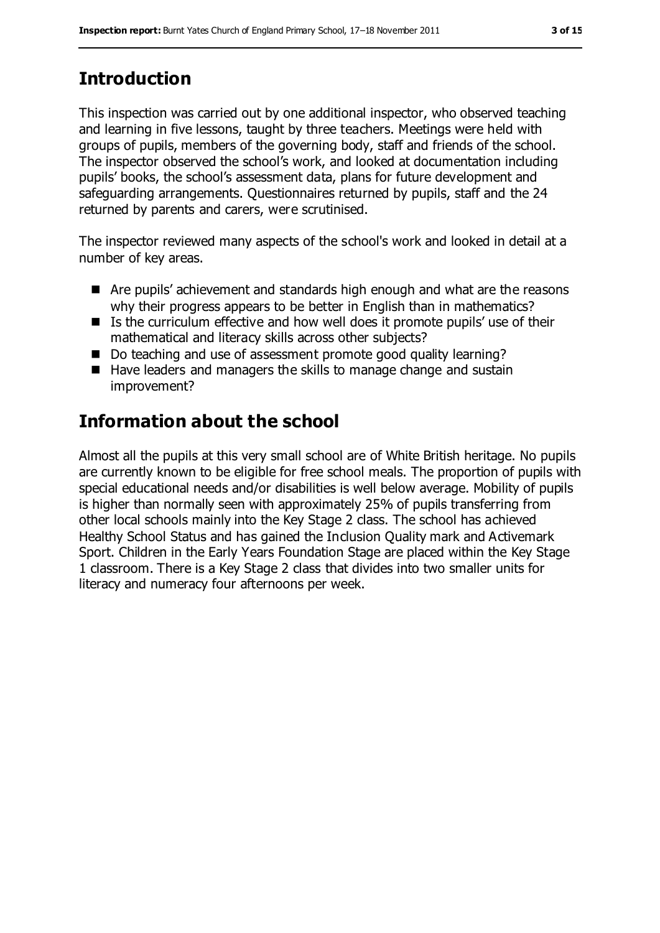# **Introduction**

This inspection was carried out by one additional inspector, who observed teaching and learning in five lessons, taught by three teachers. Meetings were held with groups of pupils, members of the governing body, staff and friends of the school. The inspector observed the school's work, and looked at documentation including pupils' books, the school's assessment data, plans for future development and safeguarding arrangements. Questionnaires returned by pupils, staff and the 24 returned by parents and carers, were scrutinised.

The inspector reviewed many aspects of the school's work and looked in detail at a number of key areas.

- Are pupils' achievement and standards high enough and what are the reasons why their progress appears to be better in English than in mathematics?
- Is the curriculum effective and how well does it promote pupils' use of their mathematical and literacy skills across other subjects?
- Do teaching and use of assessment promote good quality learning?
- Have leaders and managers the skills to manage change and sustain improvement?

# **Information about the school**

Almost all the pupils at this very small school are of White British heritage. No pupils are currently known to be eligible for free school meals. The proportion of pupils with special educational needs and/or disabilities is well below average. Mobility of pupils is higher than normally seen with approximately 25% of pupils transferring from other local schools mainly into the Key Stage 2 class. The school has achieved Healthy School Status and has gained the Inclusion Quality mark and Activemark Sport. Children in the Early Years Foundation Stage are placed within the Key Stage 1 classroom. There is a Key Stage 2 class that divides into two smaller units for literacy and numeracy four afternoons per week.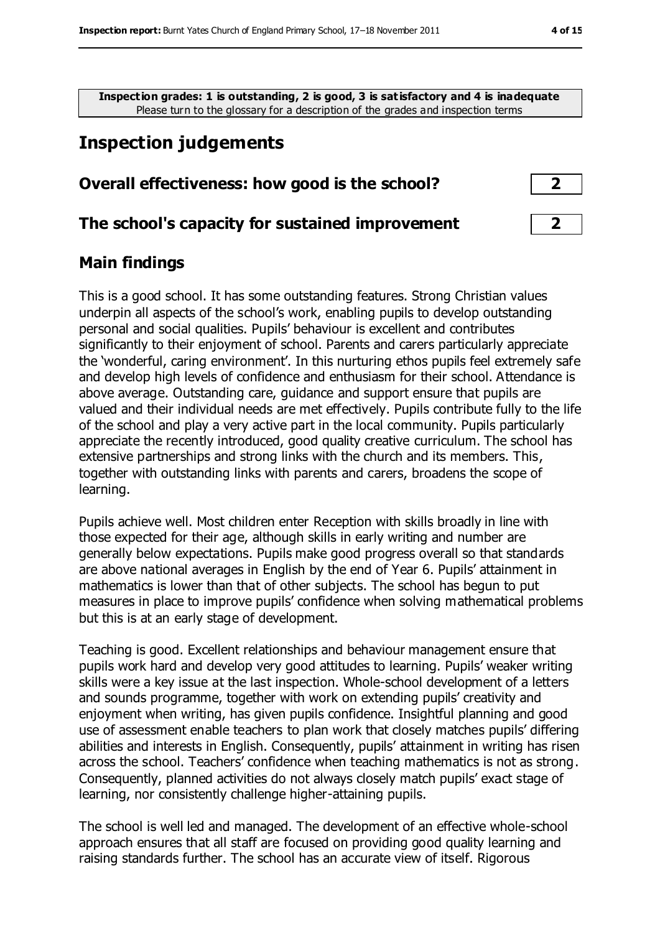**Inspection grades: 1 is outstanding, 2 is good, 3 is satisfactory and 4 is inadequate** Please turn to the glossary for a description of the grades and inspection terms

# **Inspection judgements**

#### **Overall effectiveness: how good is the school? 2**

#### **The school's capacity for sustained improvement 2**

#### **Main findings**

This is a good school. It has some outstanding features. Strong Christian values underpin all aspects of the school's work, enabling pupils to develop outstanding personal and social qualities. Pupils' behaviour is excellent and contributes significantly to their enjoyment of school. Parents and carers particularly appreciate the 'wonderful, caring environment'. In this nurturing ethos pupils feel extremely safe and develop high levels of confidence and enthusiasm for their school. Attendance is above average. Outstanding care, guidance and support ensure that pupils are valued and their individual needs are met effectively. Pupils contribute fully to the life of the school and play a very active part in the local community. Pupils particularly appreciate the recently introduced, good quality creative curriculum. The school has extensive partnerships and strong links with the church and its members. This, together with outstanding links with parents and carers, broadens the scope of learning.

Pupils achieve well. Most children enter Reception with skills broadly in line with those expected for their age, although skills in early writing and number are generally below expectations. Pupils make good progress overall so that standards are above national averages in English by the end of Year 6. Pupils' attainment in mathematics is lower than that of other subjects. The school has begun to put measures in place to improve pupils' confidence when solving mathematical problems but this is at an early stage of development.

Teaching is good. Excellent relationships and behaviour management ensure that pupils work hard and develop very good attitudes to learning. Pupils' weaker writing skills were a key issue at the last inspection. Whole-school development of a letters and sounds programme, together with work on extending pupils' creativity and enjoyment when writing, has given pupils confidence. Insightful planning and good use of assessment enable teachers to plan work that closely matches pupils' differing abilities and interests in English. Consequently, pupils' attainment in writing has risen across the school. Teachers' confidence when teaching mathematics is not as strong. Consequently, planned activities do not always closely match pupils' exact stage of learning, nor consistently challenge higher-attaining pupils.

The school is well led and managed. The development of an effective whole-school approach ensures that all staff are focused on providing good quality learning and raising standards further. The school has an accurate view of itself. Rigorous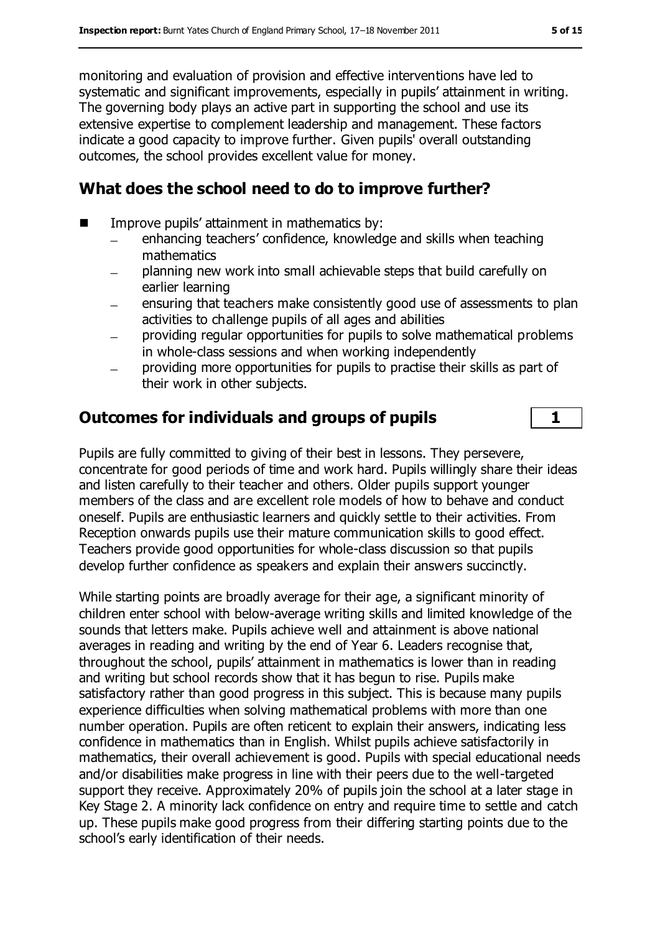monitoring and evaluation of provision and effective interventions have led to systematic and significant improvements, especially in pupils' attainment in writing. The governing body plays an active part in supporting the school and use its extensive expertise to complement leadership and management. These factors indicate a good capacity to improve further. Given pupils' overall outstanding outcomes, the school provides excellent value for money.

#### **What does the school need to do to improve further?**

- $\blacksquare$  Improve pupils' attainment in mathematics by:
	- enhancing teachers' confidence, knowledge and skills when teaching mathematics
	- planning new work into small achievable steps that build carefully on earlier learning
	- ensuring that teachers make consistently good use of assessments to plan activities to challenge pupils of all ages and abilities
	- providing regular opportunities for pupils to solve mathematical problems in whole-class sessions and when working independently
	- providing more opportunities for pupils to practise their skills as part of their work in other subjects.

## **Outcomes for individuals and groups of pupils 1**

Pupils are fully committed to giving of their best in lessons. They persevere, concentrate for good periods of time and work hard. Pupils willingly share their ideas and listen carefully to their teacher and others. Older pupils support younger members of the class and are excellent role models of how to behave and conduct oneself. Pupils are enthusiastic learners and quickly settle to their activities. From Reception onwards pupils use their mature communication skills to good effect. Teachers provide good opportunities for whole-class discussion so that pupils develop further confidence as speakers and explain their answers succinctly.

While starting points are broadly average for their age, a significant minority of children enter school with below-average writing skills and limited knowledge of the sounds that letters make. Pupils achieve well and attainment is above national averages in reading and writing by the end of Year 6. Leaders recognise that, throughout the school, pupils' attainment in mathematics is lower than in reading and writing but school records show that it has begun to rise. Pupils make satisfactory rather than good progress in this subject. This is because many pupils experience difficulties when solving mathematical problems with more than one number operation. Pupils are often reticent to explain their answers, indicating less confidence in mathematics than in English. Whilst pupils achieve satisfactorily in mathematics, their overall achievement is good. Pupils with special educational needs and/or disabilities make progress in line with their peers due to the well-targeted support they receive. Approximately 20% of pupils join the school at a later stage in Key Stage 2. A minority lack confidence on entry and require time to settle and catch up. These pupils make good progress from their differing starting points due to the school's early identification of their needs.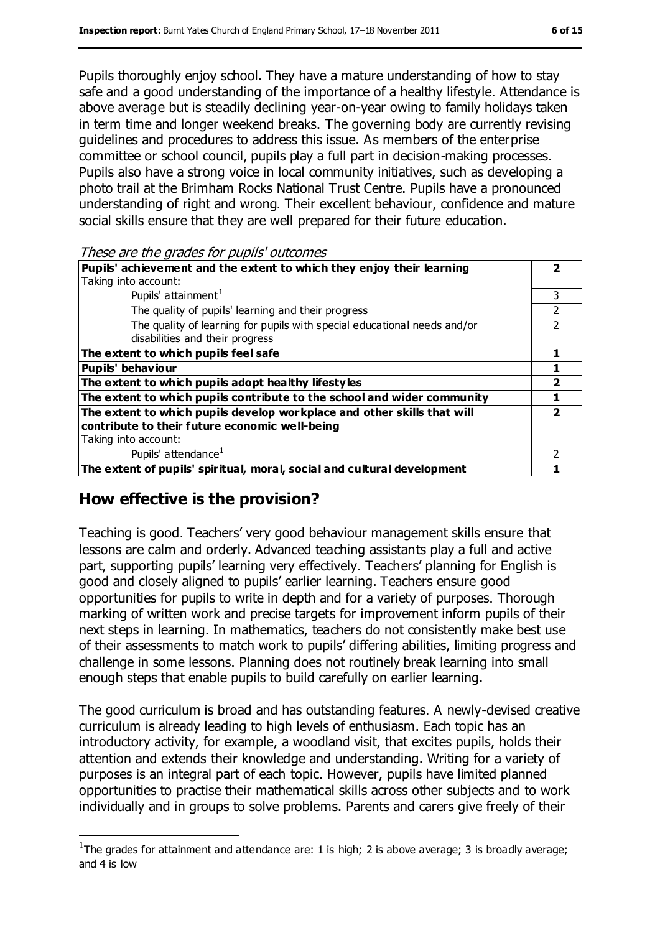Pupils thoroughly enjoy school. They have a mature understanding of how to stay safe and a good understanding of the importance of a healthy lifestyle. Attendance is above average but is steadily declining year-on-year owing to family holidays taken in term time and longer weekend breaks. The governing body are currently revising guidelines and procedures to address this issue. As members of the enterprise committee or school council, pupils play a full part in decision-making processes. Pupils also have a strong voice in local community initiatives, such as developing a photo trail at the Brimham Rocks National Trust Centre. Pupils have a pronounced understanding of right and wrong. Their excellent behaviour, confidence and mature social skills ensure that they are well prepared for their future education.

These are the grades for pupils' outcomes

| Pupils' achievement and the extent to which they enjoy their learning    |   |
|--------------------------------------------------------------------------|---|
| Taking into account:                                                     |   |
| Pupils' attainment <sup>1</sup>                                          | 3 |
| The quality of pupils' learning and their progress                       |   |
| The quality of learning for pupils with special educational needs and/or |   |
| disabilities and their progress                                          |   |
| The extent to which pupils feel safe                                     |   |
| <b>Pupils' behaviour</b>                                                 |   |
| The extent to which pupils adopt healthy lifestyles                      | 2 |
| The extent to which pupils contribute to the school and wider community  |   |
| The extent to which pupils develop workplace and other skills that will  | י |
| contribute to their future economic well-being                           |   |
| Taking into account:                                                     |   |
| Pupils' attendance <sup>1</sup>                                          |   |
| The extent of pupils' spiritual, moral, social and cultural development  |   |

## **How effective is the provision?**

 $\overline{a}$ 

Teaching is good. Teachers' very good behaviour management skills ensure that lessons are calm and orderly. Advanced teaching assistants play a full and active part, supporting pupils' learning very effectively. Teachers' planning for English is good and closely aligned to pupils' earlier learning. Teachers ensure good opportunities for pupils to write in depth and for a variety of purposes. Thorough marking of written work and precise targets for improvement inform pupils of their next steps in learning. In mathematics, teachers do not consistently make best use of their assessments to match work to pupils' differing abilities, limiting progress and challenge in some lessons. Planning does not routinely break learning into small enough steps that enable pupils to build carefully on earlier learning.

The good curriculum is broad and has outstanding features. A newly-devised creative curriculum is already leading to high levels of enthusiasm. Each topic has an introductory activity, for example, a woodland visit, that excites pupils, holds their attention and extends their knowledge and understanding. Writing for a variety of purposes is an integral part of each topic. However, pupils have limited planned opportunities to practise their mathematical skills across other subjects and to work individually and in groups to solve problems. Parents and carers give freely of their

<sup>&</sup>lt;sup>1</sup>The grades for attainment and attendance are: 1 is high; 2 is above average; 3 is broadly average; and 4 is low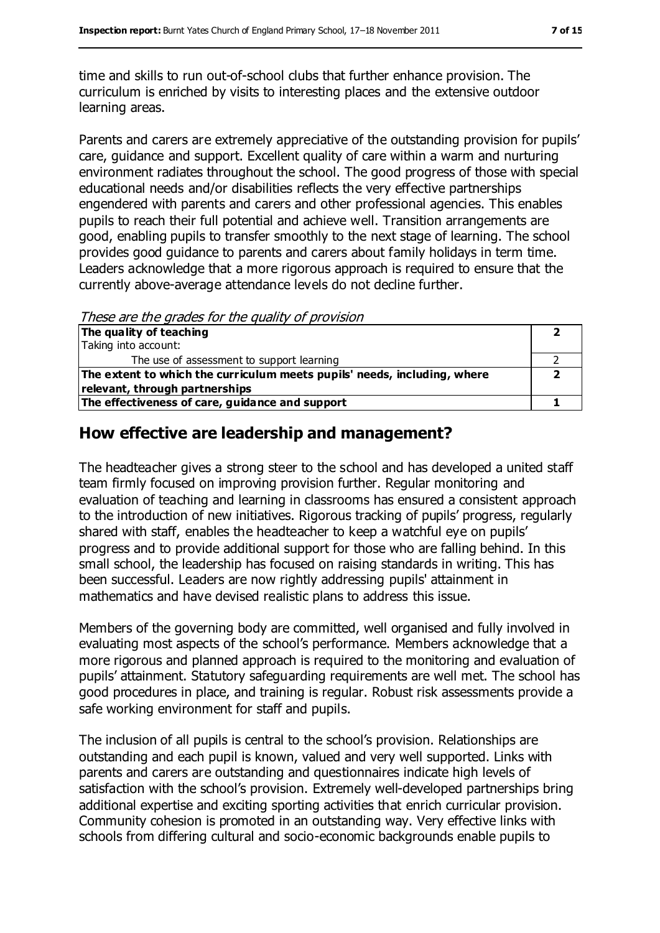time and skills to run out-of-school clubs that further enhance provision. The curriculum is enriched by visits to interesting places and the extensive outdoor learning areas.

Parents and carers are extremely appreciative of the outstanding provision for pupils' care, guidance and support. Excellent quality of care within a warm and nurturing environment radiates throughout the school. The good progress of those with special educational needs and/or disabilities reflects the very effective partnerships engendered with parents and carers and other professional agencies. This enables pupils to reach their full potential and achieve well. Transition arrangements are good, enabling pupils to transfer smoothly to the next stage of learning. The school provides good guidance to parents and carers about family holidays in term time. Leaders acknowledge that a more rigorous approach is required to ensure that the currently above-average attendance levels do not decline further.

These are the grades for the quality of provision

| The quality of teaching                                                  |  |
|--------------------------------------------------------------------------|--|
| Taking into account:                                                     |  |
| The use of assessment to support learning                                |  |
| The extent to which the curriculum meets pupils' needs, including, where |  |
| relevant, through partnerships                                           |  |
| The effectiveness of care, guidance and support                          |  |

## **How effective are leadership and management?**

The headteacher gives a strong steer to the school and has developed a united staff team firmly focused on improving provision further. Regular monitoring and evaluation of teaching and learning in classrooms has ensured a consistent approach to the introduction of new initiatives. Rigorous tracking of pupils' progress, regularly shared with staff, enables the headteacher to keep a watchful eye on pupils' progress and to provide additional support for those who are falling behind. In this small school, the leadership has focused on raising standards in writing. This has been successful. Leaders are now rightly addressing pupils' attainment in mathematics and have devised realistic plans to address this issue.

Members of the governing body are committed, well organised and fully involved in evaluating most aspects of the school's performance. Members acknowledge that a more rigorous and planned approach is required to the monitoring and evaluation of pupils' attainment. Statutory safeguarding requirements are well met. The school has good procedures in place, and training is regular. Robust risk assessments provide a safe working environment for staff and pupils.

The inclusion of all pupils is central to the school's provision. Relationships are outstanding and each pupil is known, valued and very well supported. Links with parents and carers are outstanding and questionnaires indicate high levels of satisfaction with the school's provision. Extremely well-developed partnerships bring additional expertise and exciting sporting activities that enrich curricular provision. Community cohesion is promoted in an outstanding way. Very effective links with schools from differing cultural and socio-economic backgrounds enable pupils to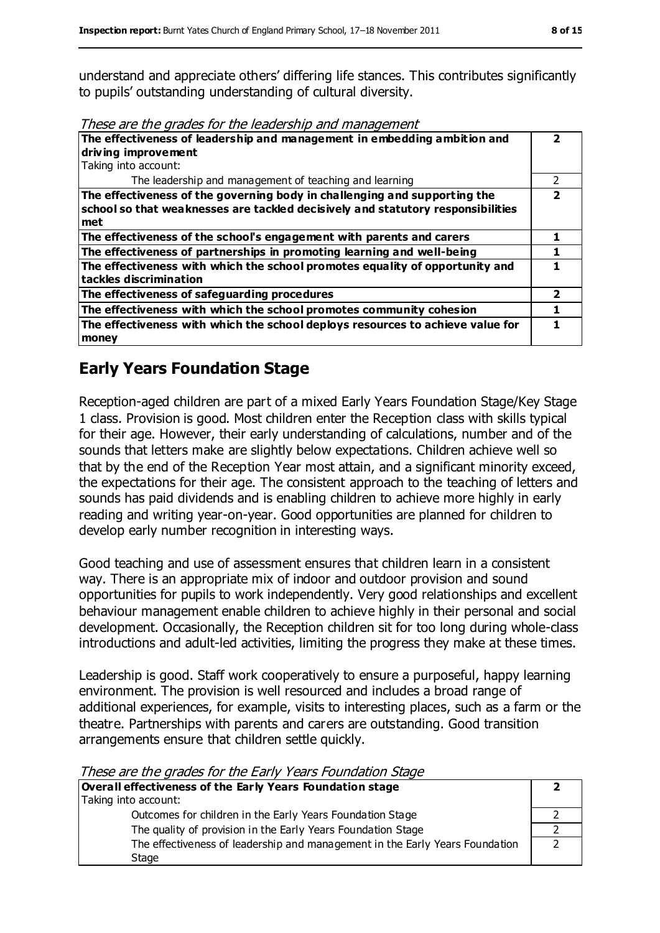understand and appreciate others' differing life stances. This contributes significantly to pupils' outstanding understanding of cultural diversity.

| These are the grades for the leadership and management |  |
|--------------------------------------------------------|--|
|--------------------------------------------------------|--|

| The effectiveness of leadership and management in embedding ambition and<br>driving improvement                                                                     |               |
|---------------------------------------------------------------------------------------------------------------------------------------------------------------------|---------------|
| Taking into account:                                                                                                                                                |               |
| The leadership and management of teaching and learning                                                                                                              | $\mathcal{P}$ |
| The effectiveness of the governing body in challenging and supporting the<br>school so that weaknesses are tackled decisively and statutory responsibilities<br>met | 7             |
| The effectiveness of the school's engagement with parents and carers                                                                                                |               |
| The effectiveness of partnerships in promoting learning and well-being                                                                                              |               |
| The effectiveness with which the school promotes equality of opportunity and<br>tackles discrimination                                                              |               |
| The effectiveness of safeguarding procedures                                                                                                                        | 2             |
| The effectiveness with which the school promotes community cohesion                                                                                                 |               |
| The effectiveness with which the school deploys resources to achieve value for<br>money                                                                             |               |

## **Early Years Foundation Stage**

Reception-aged children are part of a mixed Early Years Foundation Stage/Key Stage 1 class. Provision is good. Most children enter the Reception class with skills typical for their age. However, their early understanding of calculations, number and of the sounds that letters make are slightly below expectations. Children achieve well so that by the end of the Reception Year most attain, and a significant minority exceed, the expectations for their age. The consistent approach to the teaching of letters and sounds has paid dividends and is enabling children to achieve more highly in early reading and writing year-on-year. Good opportunities are planned for children to develop early number recognition in interesting ways.

Good teaching and use of assessment ensures that children learn in a consistent way. There is an appropriate mix of indoor and outdoor provision and sound opportunities for pupils to work independently. Very good relationships and excellent behaviour management enable children to achieve highly in their personal and social development. Occasionally, the Reception children sit for too long during whole-class introductions and adult-led activities, limiting the progress they make at these times.

Leadership is good. Staff work cooperatively to ensure a purposeful, happy learning environment. The provision is well resourced and includes a broad range of additional experiences, for example, visits to interesting places, such as a farm or the theatre. Partnerships with parents and carers are outstanding. Good transition arrangements ensure that children settle quickly.

| These are the grades for the Larry Teals Foundation Stage                    |  |
|------------------------------------------------------------------------------|--|
| Overall effectiveness of the Early Years Foundation stage                    |  |
| Taking into account:                                                         |  |
| Outcomes for children in the Early Years Foundation Stage                    |  |
| The quality of provision in the Early Years Foundation Stage                 |  |
| The effectiveness of leadership and management in the Early Years Foundation |  |
| Stage                                                                        |  |

These are the grades for the Early Years Foundation Stage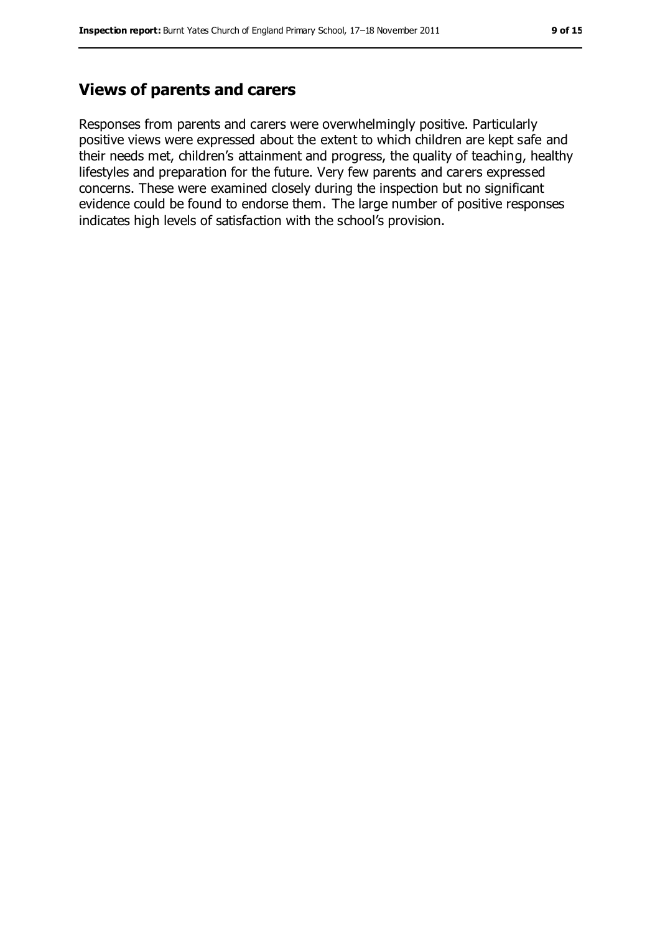#### **Views of parents and carers**

Responses from parents and carers were overwhelmingly positive. Particularly positive views were expressed about the extent to which children are kept safe and their needs met, children's attainment and progress, the quality of teaching, healthy lifestyles and preparation for the future. Very few parents and carers expressed concerns. These were examined closely during the inspection but no significant evidence could be found to endorse them. The large number of positive responses indicates high levels of satisfaction with the school's provision.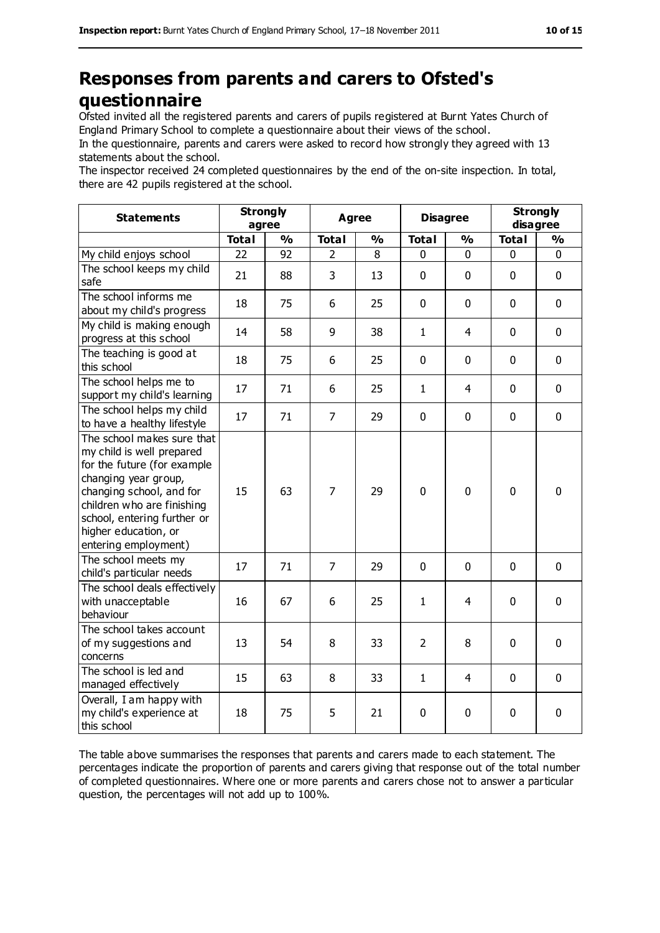# **Responses from parents and carers to Ofsted's questionnaire**

Ofsted invited all the registered parents and carers of pupils registered at Burnt Yates Church of England Primary School to complete a questionnaire about their views of the school.

In the questionnaire, parents and carers were asked to record how strongly they agreed with 13 statements about the school.

The inspector received 24 completed questionnaires by the end of the on-site inspection. In total, there are 42 pupils registered at the school.

| <b>Statements</b>                                                                                                                                                                                                                                       | <b>Strongly</b><br>agree |               | <b>Agree</b>   |               | <b>Disagree</b> |                | <b>Strongly</b><br>disagree |               |
|---------------------------------------------------------------------------------------------------------------------------------------------------------------------------------------------------------------------------------------------------------|--------------------------|---------------|----------------|---------------|-----------------|----------------|-----------------------------|---------------|
|                                                                                                                                                                                                                                                         | <b>Total</b>             | $\frac{0}{0}$ | <b>Total</b>   | $\frac{0}{0}$ | <b>Total</b>    | $\frac{0}{0}$  | <b>Total</b>                | $\frac{0}{0}$ |
| My child enjoys school                                                                                                                                                                                                                                  | 22                       | 92            | $\overline{2}$ | 8             | 0               | $\mathbf 0$    | $\mathbf 0$                 | 0             |
| The school keeps my child<br>safe                                                                                                                                                                                                                       | 21                       | 88            | 3              | 13            | 0               | $\mathbf 0$    | $\mathbf 0$                 | $\mathbf 0$   |
| The school informs me<br>about my child's progress                                                                                                                                                                                                      | 18                       | 75            | 6              | 25            | 0               | $\mathbf 0$    | $\mathbf 0$                 | $\mathbf 0$   |
| My child is making enough<br>progress at this school                                                                                                                                                                                                    | 14                       | 58            | 9              | 38            | $\mathbf{1}$    | 4              | $\mathbf 0$                 | $\mathbf 0$   |
| The teaching is good at<br>this school                                                                                                                                                                                                                  | 18                       | 75            | 6              | 25            | 0               | $\mathbf 0$    | $\mathbf 0$                 | $\mathbf 0$   |
| The school helps me to<br>support my child's learning                                                                                                                                                                                                   | 17                       | 71            | 6              | 25            | $\mathbf{1}$    | $\overline{4}$ | $\mathbf 0$                 | $\mathbf 0$   |
| The school helps my child<br>to have a healthy lifestyle                                                                                                                                                                                                | 17                       | 71            | $\overline{7}$ | 29            | 0               | $\mathbf 0$    | $\mathbf 0$                 | $\mathbf 0$   |
| The school makes sure that<br>my child is well prepared<br>for the future (for example<br>changing year group,<br>changing school, and for<br>children who are finishing<br>school, entering further or<br>higher education, or<br>entering employment) | 15                       | 63            | $\overline{7}$ | 29            | 0               | $\mathbf 0$    | $\mathbf 0$                 | $\mathbf 0$   |
| The school meets my<br>child's particular needs                                                                                                                                                                                                         | 17                       | 71            | $\overline{7}$ | 29            | 0               | $\mathbf 0$    | $\mathbf 0$                 | $\mathbf 0$   |
| The school deals effectively<br>with unacceptable<br>behaviour                                                                                                                                                                                          | 16                       | 67            | 6              | 25            | $\mathbf{1}$    | $\overline{4}$ | $\mathbf 0$                 | $\mathbf 0$   |
| The school takes account<br>of my suggestions and<br>concerns                                                                                                                                                                                           | 13                       | 54            | 8              | 33            | $\overline{2}$  | 8              | $\mathbf 0$                 | 0             |
| The school is led and<br>managed effectively                                                                                                                                                                                                            | 15                       | 63            | 8              | 33            | $\mathbf{1}$    | 4              | $\Omega$                    | $\mathbf 0$   |
| Overall, I am happy with<br>my child's experience at<br>this school                                                                                                                                                                                     | 18                       | 75            | 5              | 21            | 0               | 0              | 0                           | 0             |

The table above summarises the responses that parents and carers made to each statement. The percentages indicate the proportion of parents and carers giving that response out of the total number of completed questionnaires. Where one or more parents and carers chose not to answer a particular question, the percentages will not add up to 100%.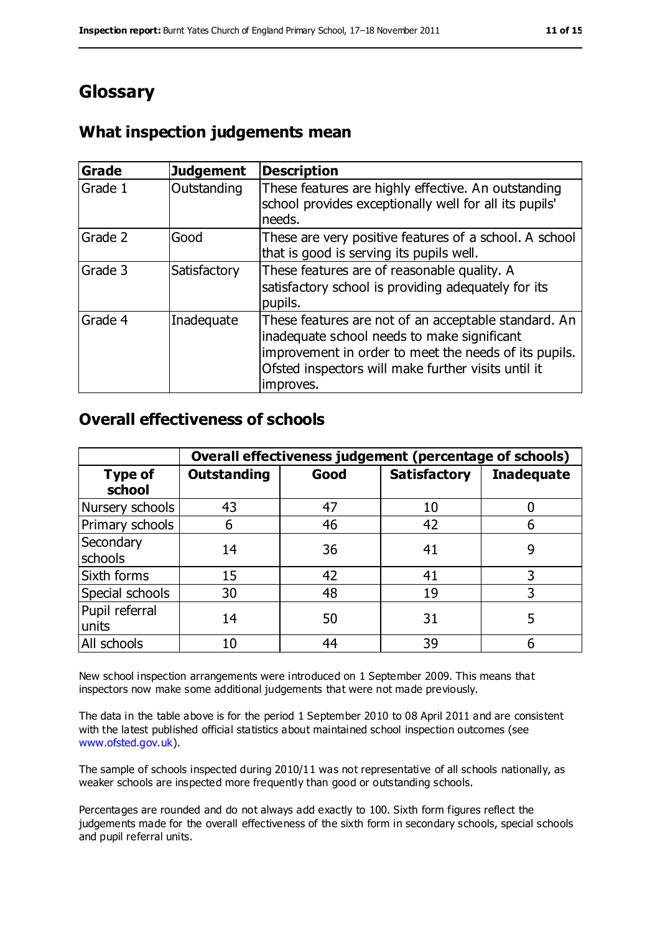## **Glossary**

#### **What inspection judgements mean**

| <b>Grade</b> | <b>Judgement</b> | <b>Description</b>                                                                                                                                                                                                               |
|--------------|------------------|----------------------------------------------------------------------------------------------------------------------------------------------------------------------------------------------------------------------------------|
| Grade 1      | Outstanding      | These features are highly effective. An outstanding<br>school provides exceptionally well for all its pupils'<br>needs.                                                                                                          |
| Grade 2      | Good             | These are very positive features of a school. A school<br>that is good is serving its pupils well.                                                                                                                               |
| Grade 3      | Satisfactory     | These features are of reasonable quality. A<br>satisfactory school is providing adequately for its<br>pupils.                                                                                                                    |
| Grade 4      | Inadequate       | These features are not of an acceptable standard. An<br>inadequate school needs to make significant<br>improvement in order to meet the needs of its pupils.<br>Ofsted inspectors will make further visits until it<br>improves. |

#### **Overall effectiveness of schools**

|                          | Overall effectiveness judgement (percentage of schools) |      |                     |                   |
|--------------------------|---------------------------------------------------------|------|---------------------|-------------------|
| <b>Type of</b><br>school | <b>Outstanding</b>                                      | Good | <b>Satisfactory</b> | <b>Inadequate</b> |
| Nursery schools          | 43                                                      | 47   | 10                  |                   |
| Primary schools          | 6                                                       | 46   | 42                  | 6                 |
| Secondary<br>schools     | 14                                                      | 36   | 41                  | 9                 |
| Sixth forms              | 15                                                      | 42   | 41                  | 3                 |
| Special schools          | 30                                                      | 48   | 19                  |                   |
| Pupil referral<br>units  | 14                                                      | 50   | 31                  | 5                 |
| All schools              | 10                                                      | 44   | 39                  |                   |

New school inspection arrangements were introduced on 1 September 2009. This means that inspectors now make some additional judgements that were not made previously.

The data in the table above is for the period 1 September 2010 to 08 April 2011 and are consistent with the latest published official statistics about maintained school inspection outcomes (see [www.ofsted.gov.uk\)](http://www.ofsted.gov.uk/).

The sample of schools inspected during 2010/11 was not representative of all schools nationally, as weaker schools are inspected more frequently than good or outstanding schools.

Percentages are rounded and do not always add exactly to 100. Sixth form figures reflect the judgements made for the overall effectiveness of the sixth form in secondary schools, special schools and pupil referral units.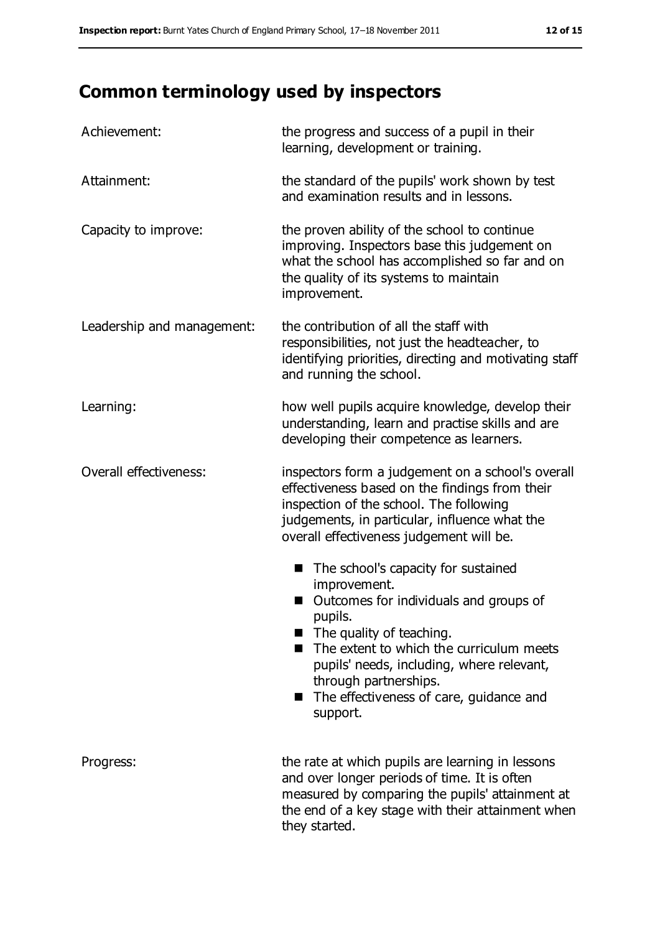# **Common terminology used by inspectors**

| Achievement:                  | the progress and success of a pupil in their<br>learning, development or training.                                                                                                                                                                                                                                                   |
|-------------------------------|--------------------------------------------------------------------------------------------------------------------------------------------------------------------------------------------------------------------------------------------------------------------------------------------------------------------------------------|
| Attainment:                   | the standard of the pupils' work shown by test<br>and examination results and in lessons.                                                                                                                                                                                                                                            |
| Capacity to improve:          | the proven ability of the school to continue<br>improving. Inspectors base this judgement on<br>what the school has accomplished so far and on<br>the quality of its systems to maintain<br>improvement.                                                                                                                             |
| Leadership and management:    | the contribution of all the staff with<br>responsibilities, not just the headteacher, to<br>identifying priorities, directing and motivating staff<br>and running the school.                                                                                                                                                        |
| Learning:                     | how well pupils acquire knowledge, develop their<br>understanding, learn and practise skills and are<br>developing their competence as learners.                                                                                                                                                                                     |
| <b>Overall effectiveness:</b> | inspectors form a judgement on a school's overall<br>effectiveness based on the findings from their<br>inspection of the school. The following<br>judgements, in particular, influence what the<br>overall effectiveness judgement will be.                                                                                          |
|                               | The school's capacity for sustained<br>■<br>improvement.<br>Outcomes for individuals and groups of<br>pupils.<br>The quality of teaching.<br>The extent to which the curriculum meets<br>pupils' needs, including, where relevant,<br>through partnerships.<br>The effectiveness of care, guidance and<br>$\blacksquare$<br>support. |
| Progress:                     | the rate at which pupils are learning in lessons<br>and over longer periods of time. It is often<br>measured by comparing the pupils' attainment at<br>the end of a key stage with their attainment when<br>they started.                                                                                                            |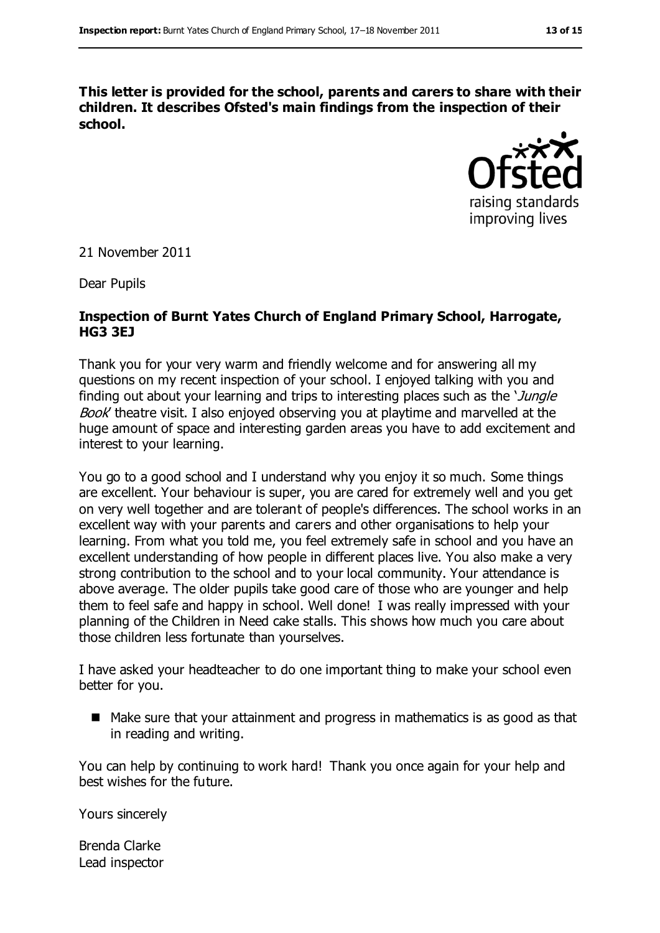**This letter is provided for the school, parents and carers to share with their children. It describes Ofsted's main findings from the inspection of their school.**



21 November 2011

Dear Pupils

#### **Inspection of Burnt Yates Church of England Primary School, Harrogate, HG3 3EJ**

Thank you for your very warm and friendly welcome and for answering all my questions on my recent inspection of your school. I enjoyed talking with you and finding out about your learning and trips to interesting places such as the *Jungle* Book' theatre visit. I also enjoyed observing you at playtime and marvelled at the huge amount of space and interesting garden areas you have to add excitement and interest to your learning.

You go to a good school and I understand why you enjoy it so much. Some things are excellent. Your behaviour is super, you are cared for extremely well and you get on very well together and are tolerant of people's differences. The school works in an excellent way with your parents and carers and other organisations to help your learning. From what you told me, you feel extremely safe in school and you have an excellent understanding of how people in different places live. You also make a very strong contribution to the school and to your local community. Your attendance is above average. The older pupils take good care of those who are younger and help them to feel safe and happy in school. Well done! I was really impressed with your planning of the Children in Need cake stalls. This shows how much you care about those children less fortunate than yourselves.

I have asked your headteacher to do one important thing to make your school even better for you.

■ Make sure that your attainment and progress in mathematics is as good as that in reading and writing.

You can help by continuing to work hard! Thank you once again for your help and best wishes for the future.

Yours sincerely

Brenda Clarke Lead inspector